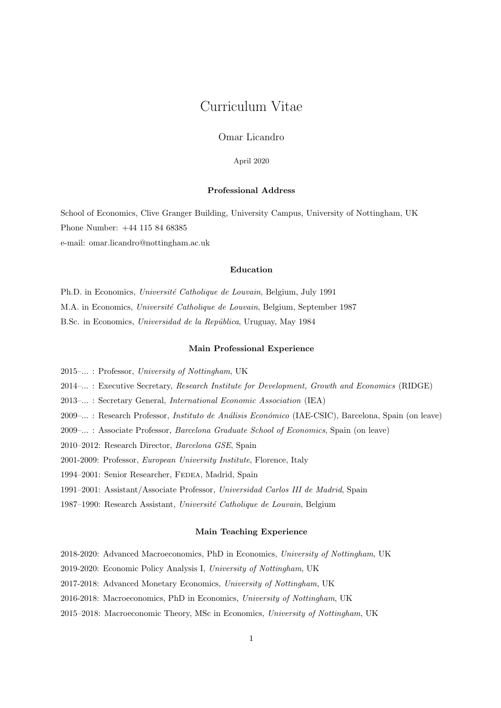# Curriculum Vitae

Omar Licandro

April 2020

## Professional Address

School of Economics, Clive Granger Building, University Campus, University of Nottingham, UK Phone Number: +44 115 84 68385 e-mail: omar.licandro@nottingham.ac.uk

## Education

Ph.D. in Economics, Université Catholique de Louvain, Belgium, July 1991 M.A. in Economics, Université Catholique de Louvain, Belgium, September 1987 B.Sc. in Economics, Universidad de la República, Uruguay, May 1984

## Main Professional Experience

2015–... : Professor, University of Nottingham, UK

2014–... : Executive Secretary, Research Institute for Development, Growth and Economics (RIDGE)

2013–... : Secretary General, International Economic Association (IEA)

2009–... : Research Professor, *Instituto de Análisis Económico* (IAE-CSIC), Barcelona, Spain (on leave)

2009–... : Associate Professor, Barcelona Graduate School of Economics, Spain (on leave)

2010–2012: Research Director, Barcelona GSE, Spain

2001-2009: Professor, European University Institute, Florence, Italy

1994–2001: Senior Researcher, FEDEA, Madrid, Spain

1991–2001: Assistant/Associate Professor, Universidad Carlos III de Madrid, Spain

1987–1990: Research Assistant, Université Catholique de Louvain, Belgium

## Main Teaching Experience

2018-2020: Advanced Macroeconomics, PhD in Economics, University of Nottingham, UK

2019-2020: Economic Policy Analysis I, University of Nottingham, UK

2017-2018: Advanced Monetary Economics, University of Nottingham, UK

- 2016-2018: Macroeconomics, PhD in Economics, University of Nottingham, UK
- 2015–2018: Macroeconomic Theory, MSc in Economics, University of Nottingham, UK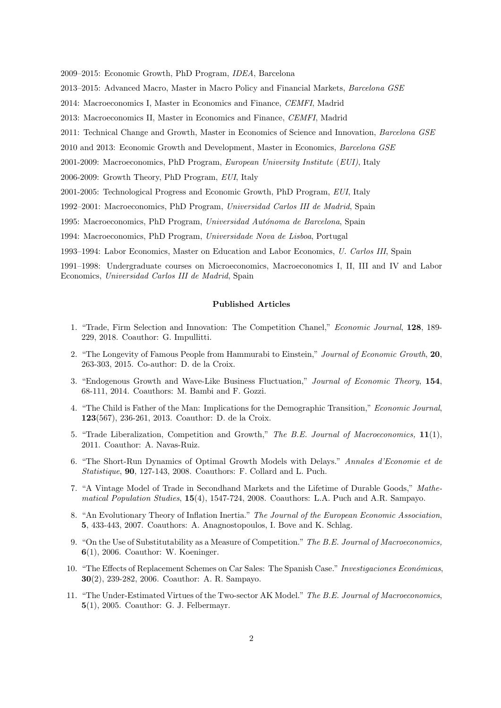2009–2015: Economic Growth, PhD Program, IDEA, Barcelona

2013–2015: Advanced Macro, Master in Macro Policy and Financial Markets, Barcelona GSE

2014: Macroeconomics I, Master in Economics and Finance, CEMFI, Madrid

2013: Macroeconomics II, Master in Economics and Finance, CEMFI, Madrid

2011: Technical Change and Growth, Master in Economics of Science and Innovation, Barcelona GSE

2010 and 2013: Economic Growth and Development, Master in Economics, Barcelona GSE

2001-2009: Macroeconomics, PhD Program, European University Institute (EUI), Italy

2006-2009: Growth Theory, PhD Program, EUI, Italy

2001-2005: Technological Progress and Economic Growth, PhD Program, EUI, Italy

1992–2001: Macroeconomics, PhD Program, Universidad Carlos III de Madrid, Spain

1995: Macroeconomics, PhD Program, Universidad Autónoma de Barcelona, Spain

1994: Macroeconomics, PhD Program, Universidade Nova de Lisboa, Portugal

1993–1994: Labor Economics, Master on Education and Labor Economics, U. Carlos III, Spain

1991–1998: Undergraduate courses on Microeconomics, Macroeconomics I, II, III and IV and Labor Economics, Universidad Carlos III de Madrid, Spain

#### Published Articles

- 1. "Trade, Firm Selection and Innovation: The Competition Chanel," Economic Journal, 128, 189- 229, 2018. Coauthor: G. Impullitti.
- 2. "The Longevity of Famous People from Hammurabi to Einstein," Journal of Economic Growth, 20, 263-303, 2015. Co-author: D. de la Croix.
- 3. "Endogenous Growth and Wave-Like Business Fluctuation," Journal of Economic Theory, 154, 68-111, 2014. Coauthors: M. Bambi and F. Gozzi.
- 4. "The Child is Father of the Man: Implications for the Demographic Transition," Economic Journal, 123(567), 236-261, 2013. Coauthor: D. de la Croix.
- 5. "Trade Liberalization, Competition and Growth," The B.E. Journal of Macroeconomics, 11(1), 2011. Coauthor: A. Navas-Ruiz.
- 6. "The Short-Run Dynamics of Optimal Growth Models with Delays." Annales d'Economie et de Statistique, 90, 127-143, 2008. Coauthors: F. Collard and L. Puch.
- 7. "A Vintage Model of Trade in Secondhand Markets and the Lifetime of Durable Goods," Mathematical Population Studies, 15(4), 1547-724, 2008. Coauthors: L.A. Puch and A.R. Sampayo.
- 8. "An Evolutionary Theory of Inflation Inertia." The Journal of the European Economic Association, 5, 433-443, 2007. Coauthors: A. Anagnostopoulos, I. Bove and K. Schlag.
- 9. "On the Use of Substitutability as a Measure of Competition." The B.E. Journal of Macroeconomics, 6(1), 2006. Coauthor: W. Koeninger.
- 10. "The Effects of Replacement Schemes on Car Sales: The Spanish Case." Investigaciones Económicas, 30(2), 239-282, 2006. Coauthor: A. R. Sampayo.
- 11. "The Under-Estimated Virtues of the Two-sector AK Model." The B.E. Journal of Macroeconomics, 5(1), 2005. Coauthor: G. J. Felbermayr.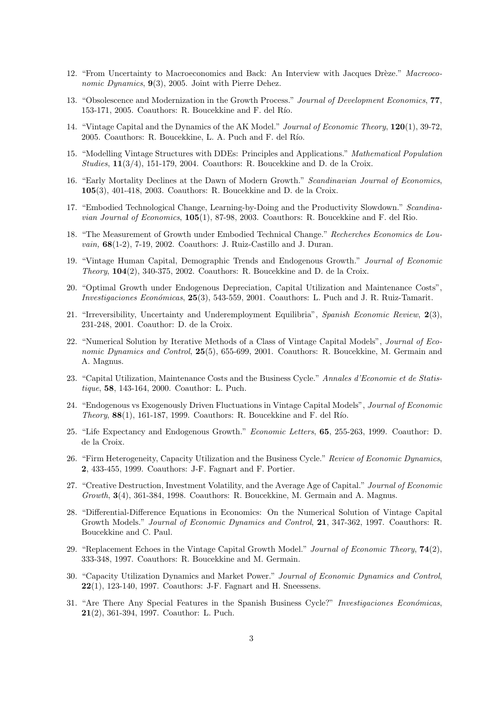- 12. "From Uncertainty to Macroeconomics and Back: An Interview with Jacques Drèze." Macreoconomic Dynamics,  $9(3)$ , 2005. Joint with Pierre Dehez.
- 13. "Obsolescence and Modernization in the Growth Process." Journal of Development Economics, 77, 153-171, 2005. Coauthors: R. Boucekkine and F. del Río.
- 14. "Vintage Capital and the Dynamics of the AK Model." Journal of Economic Theory, 120(1), 39-72, 2005. Coauthors: R. Boucekkine, L. A. Puch and F. del Río.
- 15. "Modelling Vintage Structures with DDEs: Principles and Applications." Mathematical Population Studies, 11(3/4), 151-179, 2004. Coauthors: R. Boucekkine and D. de la Croix.
- 16. "Early Mortality Declines at the Dawn of Modern Growth." Scandinavian Journal of Economics, 105(3), 401-418, 2003. Coauthors: R. Boucekkine and D. de la Croix.
- 17. "Embodied Technological Change, Learning-by-Doing and the Productivity Slowdown." Scandina*vian Journal of Economics,*  $105(1)$ ,  $87-98$ ,  $2003$ . Coauthors: R. Boucekkine and F. del Rio.
- 18. "The Measurement of Growth under Embodied Technical Change." Recherches Economics de Louvain, 68(1-2), 7-19, 2002. Coauthors: J. Ruiz-Castillo and J. Duran.
- 19. "Vintage Human Capital, Demographic Trends and Endogenous Growth." Journal of Economic Theory, 104(2), 340-375, 2002. Coauthors: R. Boucekkine and D. de la Croix.
- 20. "Optimal Growth under Endogenous Depreciation, Capital Utilization and Maintenance Costs", Investigaciones Económicas, 25(3), 543-559, 2001. Coauthors: L. Puch and J. R. Ruiz-Tamarit.
- 21. "Irreversibility, Uncertainty and Underemployment Equilibria", Spanish Economic Review, 2(3), 231-248, 2001. Coauthor: D. de la Croix.
- 22. "Numerical Solution by Iterative Methods of a Class of Vintage Capital Models", Journal of Economic Dynamics and Control, 25(5), 655-699, 2001. Coauthors: R. Boucekkine, M. Germain and A. Magnus.
- 23. "Capital Utilization, Maintenance Costs and the Business Cycle." Annales d'Economie et de Statistique, 58, 143-164, 2000. Coauthor: L. Puch.
- 24. "Endogenous vs Exogenously Driven Fluctuations in Vintage Capital Models", Journal of Economic Theory,  $88(1)$ , 161-187, 1999. Coauthors: R. Boucekkine and F. del Río.
- 25. "Life Expectancy and Endogenous Growth." Economic Letters, 65, 255-263, 1999. Coauthor: D. de la Croix.
- 26. "Firm Heterogeneity, Capacity Utilization and the Business Cycle." Review of Economic Dynamics, 2, 433-455, 1999. Coauthors: J-F. Fagnart and F. Portier.
- 27. "Creative Destruction, Investment Volatility, and the Average Age of Capital." Journal of Economic Growth, 3(4), 361-384, 1998. Coauthors: R. Boucekkine, M. Germain and A. Magnus.
- 28. "Differential-Difference Equations in Economics: On the Numerical Solution of Vintage Capital Growth Models." Journal of Economic Dynamics and Control, 21, 347-362, 1997. Coauthors: R. Boucekkine and C. Paul.
- 29. "Replacement Echoes in the Vintage Capital Growth Model." Journal of Economic Theory, 74(2), 333-348, 1997. Coauthors: R. Boucekkine and M. Germain.
- 30. "Capacity Utilization Dynamics and Market Power." Journal of Economic Dynamics and Control, 22(1), 123-140, 1997. Coauthors: J-F. Fagnart and H. Sneessens.
- 31. "Are There Any Special Features in the Spanish Business Cycle?" Investigaciones Económicas, 21(2), 361-394, 1997. Coauthor: L. Puch.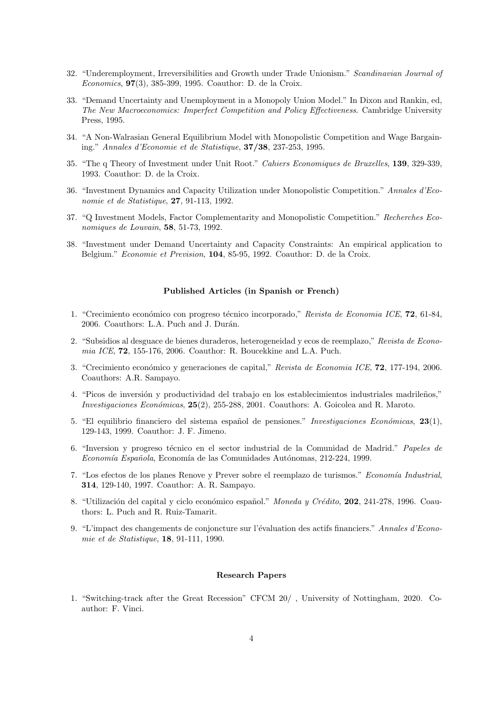- 32. "Underemployment, Irreversibilities and Growth under Trade Unionism." Scandinavian Journal of Economics, 97(3), 385-399, 1995. Coauthor: D. de la Croix.
- 33. "Demand Uncertainty and Unemployment in a Monopoly Union Model." In Dixon and Rankin, ed, The New Macroeconomics: Imperfect Competition and Policy Effectiveness. Cambridge University Press, 1995.
- 34. "A Non-Walrasian General Equilibrium Model with Monopolistic Competition and Wage Bargaining." Annales d'Economie et de Statistique, 37/38, 237-253, 1995.
- 35. "The q Theory of Investment under Unit Root." Cahiers Economiques de Bruxelles, 139, 329-339, 1993. Coauthor: D. de la Croix.
- 36. "Investment Dynamics and Capacity Utilization under Monopolistic Competition." Annales d'Economie et de Statistique, 27, 91-113, 1992.
- 37. "Q Investment Models, Factor Complementarity and Monopolistic Competition." Recherches Economiques de Louvain, 58, 51-73, 1992.
- 38. "Investment under Demand Uncertainty and Capacity Constraints: An empirical application to Belgium." Economie et Prevision, 104, 85-95, 1992. Coauthor: D. de la Croix.

# Published Articles (in Spanish or French)

- 1. "Crecimiento económico con progreso técnico incorporado," Revista de Economia ICE, 72, 61-84, 2006. Coauthors: L.A. Puch and J. Durán.
- 2. "Subsidios al desguace de bienes duraderos, heterogeneidad y ecos de reemplazo," Revista de Econo $mia \, ICE, 72, 155-176, 2006. \text{ Coauthor: R. Boucekkine and L.A. Puch.}$
- 3. "Crecimiento económico y generaciones de capital," Revista de Economia ICE, 72, 177-194, 2006. Coauthors: A.R. Sampayo.
- 4. "Picos de inversión y productividad del trabajo en los establecimientos industriales madrileños," Investigaciones Económicas,  $25(2)$ , 255-288, 2001. Coauthors: A. Goicolea and R. Maroto.
- 5. "El equilibrio financiero del sistema español de pensiones." Investigaciones Económicas, 23(1), 129-143, 1999. Coauthor: J. F. Jimeno.
- 6. "Inversion y progreso técnico en el sector industrial de la Comunidad de Madrid." Papeles de Economía Española, Economía de las Comunidades Autónomas, 212-224, 1999.
- 7. "Los efectos de los planes Renove y Prever sobre el reemplazo de turismos." Economía Industrial, 314, 129-140, 1997. Coauthor: A. R. Sampayo.
- 8. "Utilización del capital y ciclo económico español." Moneda y Crédito, 202, 241-278, 1996. Coauthors: L. Puch and R. Ruiz-Tamarit.
- 9. "L'impact des changements de conjoncture sur l'évaluation des actifs financiers." Annales d'Economie et de Statistique, 18, 91-111, 1990.

## Research Papers

1. "Switching-track after the Great Recession" CFCM 20/ , University of Nottingham, 2020. Coauthor: F. Vinci.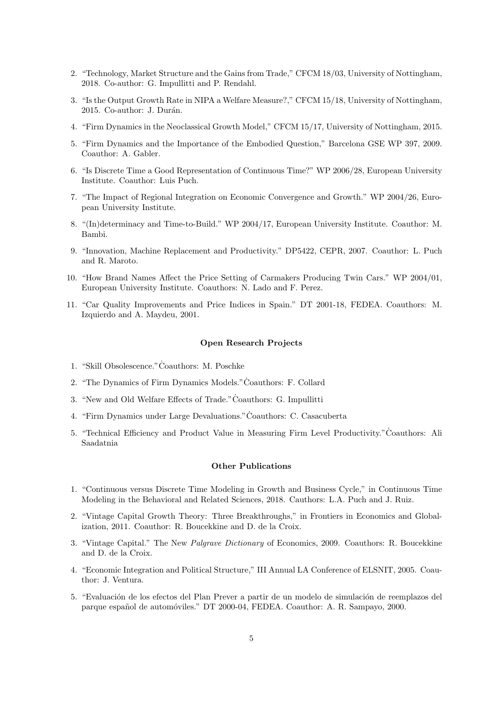- 2. "Technology, Market Structure and the Gains from Trade," CFCM 18/03, University of Nottingham, 2018. Co-author: G. Impullitti and P. Rendahl.
- 3. "Is the Output Growth Rate in NIPA a Welfare Measure?," CFCM 15/18, University of Nottingham, 2015. Co-author: J. Durán.
- 4. "Firm Dynamics in the Neoclassical Growth Model," CFCM 15/17, University of Nottingham, 2015.
- 5. "Firm Dynamics and the Importance of the Embodied Question," Barcelona GSE WP 397, 2009. Coauthor: A. Gabler.
- 6. "Is Discrete Time a Good Representation of Continuous Time?" WP 2006/28, European University Institute. Coauthor: Luis Puch.
- 7. "The Impact of Regional Integration on Economic Convergence and Growth." WP 2004/26, European University Institute.
- 8. "(In)determinacy and Time-to-Build." WP 2004/17, European University Institute. Coauthor: M. Bambi.
- 9. "Innovation, Machine Replacement and Productivity." DP5422, CEPR, 2007. Coauthor: L. Puch and R. Maroto.
- 10. "How Brand Names Affect the Price Setting of Carmakers Producing Twin Cars." WP 2004/01, European University Institute. Coauthors: N. Lado and F. Perez.
- 11. "Car Quality Improvements and Price Indices in Spain." DT 2001-18, FEDEA. Coauthors: M. Izquierdo and A. Maydeu, 2001.

## Open Research Projects

- 1. "Skill Obsolescence." Coauthors: M. Poschke
- 2. "The Dynamics of Firm Dynamics Models." Coauthors: F. Collard
- 3. "New and Old Welfare Effects of Trade."Coauthors: G. Impullitti ˙
- 4. "Firm Dynamics under Large Devaluations." Coauthors: C. Casacuberta
- 5. "Technical Efficiency and Product Value in Measuring Firm Level Productivity."Coauthors: Ali ˙ Saadatnia

## Other Publications

- 1. "Continuous versus Discrete Time Modeling in Growth and Business Cycle," in Continuous Time Modeling in the Behavioral and Related Sciences, 2018. Cauthors: L.A. Puch and J. Ruiz.
- 2. "Vintage Capital Growth Theory: Three Breakthroughs," in Frontiers in Economics and Globalization, 2011. Coauthor: R. Boucekkine and D. de la Croix.
- 3. "Vintage Capital." The New Palgrave Dictionary of Economics, 2009. Coauthors: R. Boucekkine and D. de la Croix.
- 4. "Economic Integration and Political Structure," III Annual LA Conference of ELSNIT, 2005. Coauthor: J. Ventura.
- 5. "Evaluación de los efectos del Plan Prever a partir de un modelo de simulación de reemplazos del parque espa˜nol de autom´oviles." DT 2000-04, FEDEA. Coauthor: A. R. Sampayo, 2000.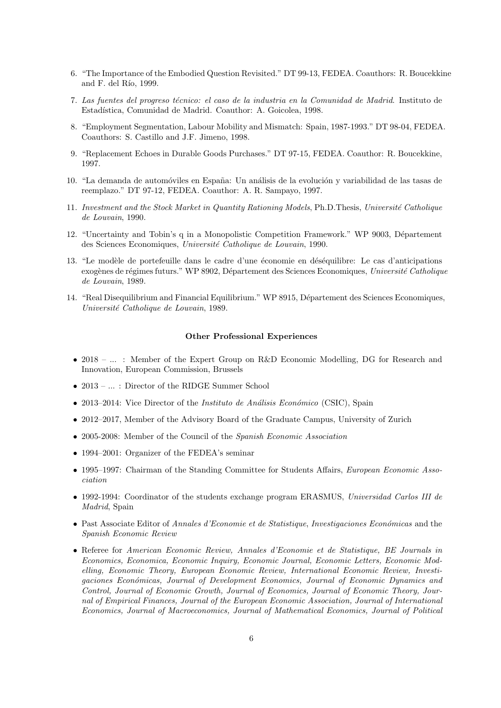- 6. "The Importance of the Embodied Question Revisited." DT 99-13, FEDEA. Coauthors: R. Boucekkine and F. del Río, 1999.
- 7. Las fuentes del progreso técnico: el caso de la industria en la Comunidad de Madrid. Instituto de Estadística, Comunidad de Madrid. Coauthor: A. Goicolea, 1998.
- 8. "Employment Segmentation, Labour Mobility and Mismatch: Spain, 1987-1993." DT 98-04, FEDEA. Coauthors: S. Castillo and J.F. Jimeno, 1998.
- 9. "Replacement Echoes in Durable Goods Purchases." DT 97-15, FEDEA. Coauthor: R. Boucekkine, 1997.
- 10. "La demanda de automóviles en España: Un análisis de la evolución y variabilidad de las tasas de reemplazo." DT 97-12, FEDEA. Coauthor: A. R. Sampayo, 1997.
- 11. Investment and the Stock Market in Quantity Rationing Models, Ph.D.Thesis, Université Catholique de Louvain, 1990.
- 12. "Uncertainty and Tobin's q in a Monopolistic Competition Framework." WP 9003, Département des Sciences Economiques, Université Catholique de Louvain, 1990.
- 13. "Le modèle de portefeuille dans le cadre d'une économie en déséquilibre: Le cas d'anticipations exogènes de régimes futurs." WP 8902, Département des Sciences Economiques, Université Catholique de Louvain, 1989.
- 14. "Real Disequilibrium and Financial Equilibrium." WP 8915, Département des Sciences Economiques, Université Catholique de Louvain, 1989.

#### Other Professional Experiences

- 2018 ... : Member of the Expert Group on R&D Economic Modelling, DG for Research and Innovation, European Commission, Brussels
- 2013 ... : Director of the RIDGE Summer School
- 2013–2014: Vice Director of the *Instituto de Análisis Económico* (CSIC), Spain
- 2012–2017, Member of the Advisory Board of the Graduate Campus, University of Zurich
- 2005-2008: Member of the Council of the Spanish Economic Association
- 1994–2001: Organizer of the FEDEA's seminar
- 1995–1997: Chairman of the Standing Committee for Students Affairs, *European Economic Asso*ciation
- 1992-1994: Coordinator of the students exchange program ERASMUS, Universidad Carlos III de Madrid, Spain
- Past Associate Editor of Annales d'Economie et de Statistique, Investigaciones Económicas and the Spanish Economic Review
- Referee for American Economic Review, Annales d'Economie et de Statistique, BE Journals in Economics, Economica, Economic Inquiry, Economic Journal, Economic Letters, Economic Modelling, Economic Theory, European Economic Review, International Economic Review, Investigaciones Económicas, Journal of Development Economics, Journal of Economic Dynamics and Control, Journal of Economic Growth, Journal of Economics, Journal of Economic Theory, Journal of Empirical Finances, Journal of the European Economic Association, Journal of International Economics, Journal of Macroeconomics, Journal of Mathematical Economics, Journal of Political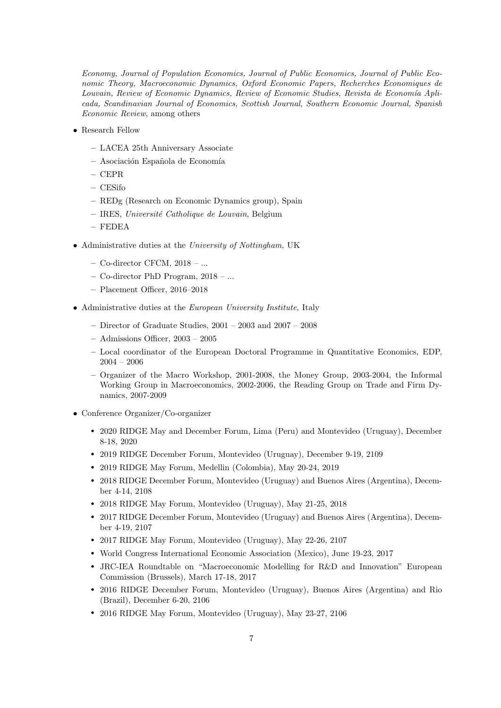Economy, Journal of Population Economics, Journal of Public Economics, Journal of Public Economic Theory, Macroeconomic Dynamics, Oxford Economic Papers, Recherches Economiques de Louvain, Review of Economic Dynamics, Review of Economic Studies, Revista de Economía Aplicada, Scandinavian Journal of Economics, Scottish Journal, Southern Economic Journal, Spanish Economic Review, among others

- Research Fellow
	- LACEA 25th Anniversary Associate
	- $-$  Asociación Española de Economía
	- CEPR
	- CESifo
	- REDg (Research on Economic Dynamics group), Spain
	- IRES, Universit´e Catholique de Louvain, Belgium
	- FEDEA
- Administrative duties at the University of Nottingham, UK
	- Co-director CFCM, 2018 ...
	- Co-director PhD Program, 2018 ...
	- Placement Officer, 2016–2018
- Administrative duties at the European University Institute, Italy
	- Director of Graduate Studies,  $2001 2003$  and  $2007 2008$
	- Admissions Officer, 2003 2005
	- Local coordinator of the European Doctoral Programme in Quantitative Economics, EDP, 2004 – 2006
	- Organizer of the Macro Workshop, 2001-2008, the Money Group, 2003-2004, the Informal Working Group in Macroeconomics, 2002-2006, the Reading Group on Trade and Firm Dynamics, 2007-2009
- Conference Organizer/Co-organizer
	- r 2020 RIDGE May and December Forum, Lima (Peru) and Montevideo (Uruguay), December 8-18, 2020
	- r 2019 RIDGE December Forum, Montevideo (Uruguay), December 9-19, 2109
	- 2019 RIDGE May Forum, Medellin (Colombia), May 20-24, 2019
	- r 2018 RIDGE December Forum, Montevideo (Uruguay) and Buenos Aires (Argentina), December 4-14, 2108
	- 2018 RIDGE May Forum, Montevideo (Uruguay), May 21-25, 2018
	- r 2017 RIDGE December Forum, Montevideo (Uruguay) and Buenos Aires (Argentina), December 4-19, 2107
	- 2017 RIDGE May Forum, Montevideo (Uruguay), May 22-26, 2107
	- World Congress International Economic Association (Mexico), June 19-23, 2017
	- r JRC-IEA Roundtable on "Macroeconomic Modelling for R&D and Innovation" European Commission (Brussels), March 17-18, 2017
	- r 2016 RIDGE December Forum, Montevideo (Uruguay), Buenos Aires (Argentina) and Rio (Brazil), December 6-20, 2106
	- 2016 RIDGE May Forum, Montevideo (Uruguay), May 23-27, 2106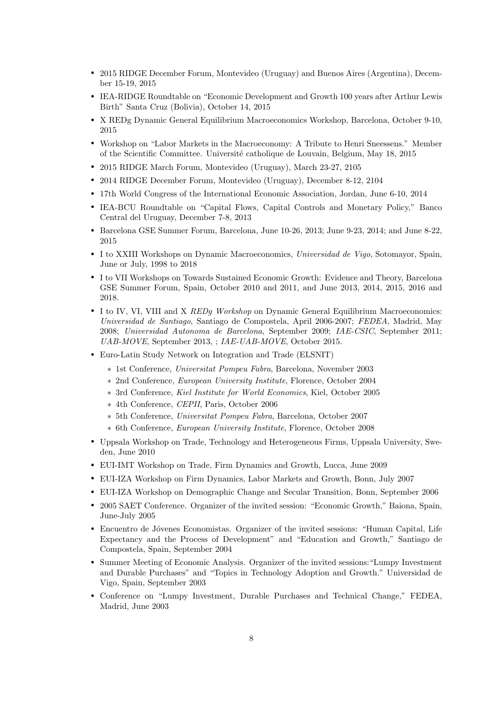- r 2015 RIDGE December Forum, Montevideo (Uruguay) and Buenos Aires (Argentina), December 15-19, 2015
- r IEA-RIDGE Roundtable on "Economic Development and Growth 100 years after Arthur Lewis Birth" Santa Cruz (Bolivia), October 14, 2015
- r X REDg Dynamic General Equilibrium Macroeconomics Workshop, Barcelona, October 9-10, 2015
- r Workshop on "Labor Markets in the Macroeconomy: A Tribute to Henri Sneessens." Member of the Scientific Committee. Universit´e catholique de Louvain, Belgium, May 18, 2015
- 2015 RIDGE March Forum, Montevideo (Uruguay), March 23-27, 2105
- 2014 RIDGE December Forum, Montevideo (Uruguay), December 8-12, 2104
- 17th World Congress of the International Economic Association, Jordan, June 6-10, 2014
- r IEA-BCU Roundtable on "Capital Flows, Capital Controls and Monetary Policy," Banco Central del Uruguay, December 7-8, 2013
- r Barcelona GSE Summer Forum, Barcelona, June 10-26, 2013; June 9-23, 2014; and June 8-22, 2015
- I to XXIII Workshops on Dynamic Macroeconomics, Universidad de Vigo, Sotomayor, Spain, June or July, 1998 to 2018
- r I to VII Workshops on Towards Sustained Economic Growth: Evidence and Theory, Barcelona GSE Summer Forum, Spain, October 2010 and 2011, and June 2013, 2014, 2015, 2016 and 2018.
- I to IV, VI, VIII and X REDg Workshop on Dynamic General Equilibrium Macroeconomics: Universidad de Santiago, Santiago de Compostela, April 2006-2007; FEDEA, Madrid, May 2008; Universidad Autonoma de Barcelona, September 2009; IAE-CSIC, September 2011; UAB-MOVE, September 2013, ; IAE-UAB-MOVE, October 2015.
- Euro-Latin Study Network on Integration and Trade (ELSNIT)
	- ∗ 1st Conference, Universitat Pompeu Fabra, Barcelona, November 2003
	- ∗ 2nd Conference, European University Institute, Florence, October 2004
	- ∗ 3rd Conference, Kiel Institute for World Economics, Kiel, October 2005
	- ∗ 4th Conference, CEPII, Paris, October 2006
	- ∗ 5th Conference, Universitat Pompeu Fabra, Barcelona, October 2007
	- ∗ 6th Conference, European University Institute, Florence, October 2008
- r Uppsala Workshop on Trade, Technology and Heterogeneous Firms, Uppsala University, Sweden, June 2010
- r EUI-IMT Workshop on Trade, Firm Dynamics and Growth, Lucca, June 2009
- r EUI-IZA Workshop on Firm Dynamics, Labor Markets and Growth, Bonn, July 2007
- r EUI-IZA Workshop on Demographic Change and Secular Transition, Bonn, September 2006
- r 2005 SAET Conference. Organizer of the invited session: "Economic Growth," Baiona, Spain, June-July 2005
- Encuentro de Jóvenes Economistas. Organizer of the invited sessions: "Human Capital, Life Expectancy and the Process of Development" and "Education and Growth," Santiago de Compostela, Spain, September 2004
- r Summer Meeting of Economic Analysis. Organizer of the invited sessions:"Lumpy Investment and Durable Purchases" and "Topics in Technology Adoption and Growth." Universidad de Vigo, Spain, September 2003
- r Conference on "Lumpy Investment, Durable Purchases and Technical Change," FEDEA, Madrid, June 2003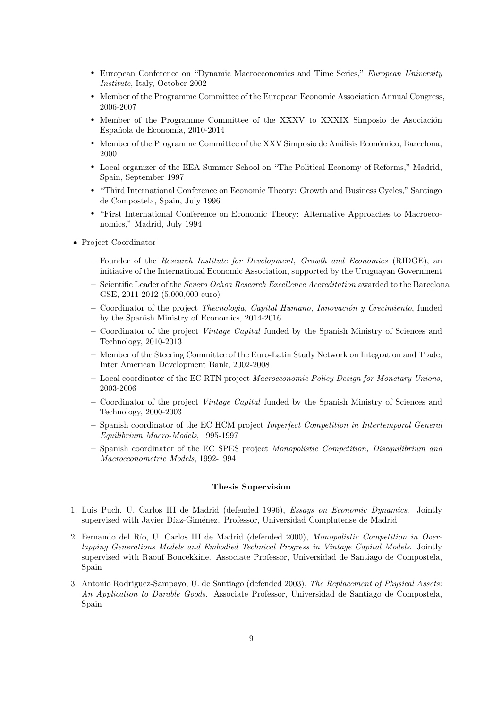- European Conference on "Dynamic Macroeconomics and Time Series," European University Institute, Italy, October 2002
- r Member of the Programme Committee of the European Economic Association Annual Congress, 2006-2007
- Member of the Programme Committee of the XXXV to XXXIX Simposio de Asociación Española de Economía, 2010-2014
- Member of the Programme Committee of the XXV Simposio de Análisis Económico, Barcelona, 2000
- r Local organizer of the EEA Summer School on "The Political Economy of Reforms," Madrid, Spain, September 1997
- r "Third International Conference on Economic Theory: Growth and Business Cycles," Santiago de Compostela, Spain, July 1996
- r "First International Conference on Economic Theory: Alternative Approaches to Macroeconomics," Madrid, July 1994
- Project Coordinator
	- Founder of the Research Institute for Development, Growth and Economics (RIDGE), an initiative of the International Economic Association, supported by the Uruguayan Government
	- Scientific Leader of the Severo Ochoa Research Excellence Accreditation awarded to the Barcelona GSE, 2011-2012 (5,000,000 euro)
	- $-$  Coordinator of the project *Thecnologia, Capital Humano, Innovación y Crecimiento*, funded by the Spanish Ministry of Economics, 2014-2016
	- Coordinator of the project Vintage Capital funded by the Spanish Ministry of Sciences and Technology, 2010-2013
	- Member of the Steering Committee of the Euro-Latin Study Network on Integration and Trade, Inter American Development Bank, 2002-2008
	- Local coordinator of the EC RTN project Macroeconomic Policy Design for Monetary Unions, 2003-2006
	- Coordinator of the project Vintage Capital funded by the Spanish Ministry of Sciences and Technology, 2000-2003
	- Spanish coordinator of the EC HCM project Imperfect Competition in Intertemporal General Equilibrium Macro-Models, 1995-1997
	- Spanish coordinator of the EC SPES project Monopolistic Competition, Disequilibrium and Macroeconometric Models, 1992-1994

## Thesis Supervision

- 1. Luis Puch, U. Carlos III de Madrid (defended 1996), Essays on Economic Dynamics. Jointly supervised with Javier Díaz-Giménez. Professor, Universidad Complutense de Madrid
- 2. Fernando del Río, U. Carlos III de Madrid (defended 2000), Monopolistic Competition in Overlapping Generations Models and Embodied Technical Progress in Vintage Capital Models. Jointly supervised with Raouf Boucekkine. Associate Professor, Universidad de Santiago de Compostela, Spain
- 3. Antonio Rodriguez-Sampayo, U. de Santiago (defended 2003), The Replacement of Physical Assets: An Application to Durable Goods. Associate Professor, Universidad de Santiago de Compostela, Spain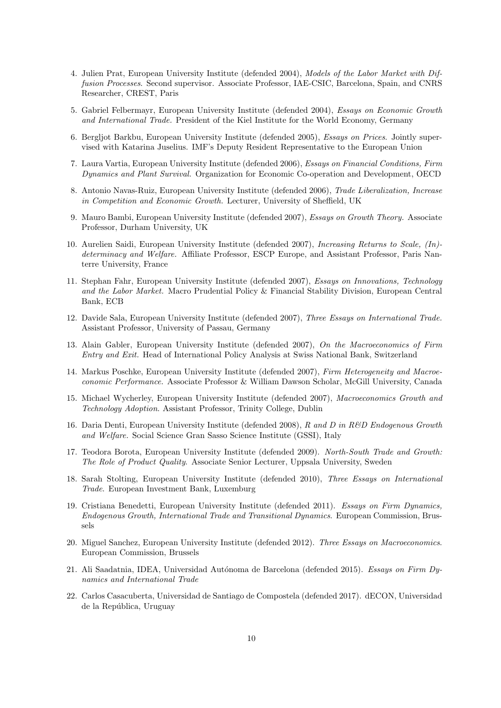- 4. Julien Prat, European University Institute (defended 2004), Models of the Labor Market with Diffusion Processes. Second supervisor. Associate Professor, IAE-CSIC, Barcelona, Spain, and CNRS Researcher, CREST, Paris
- 5. Gabriel Felbermayr, European University Institute (defended 2004), Essays on Economic Growth and International Trade. President of the Kiel Institute for the World Economy, Germany
- 6. Bergljot Barkbu, European University Institute (defended 2005), Essays on Prices. Jointly supervised with Katarina Juselius. IMF's Deputy Resident Representative to the European Union
- 7. Laura Vartia, European University Institute (defended 2006), Essays on Financial Conditions, Firm Dynamics and Plant Survival. Organization for Economic Co-operation and Development, OECD
- 8. Antonio Navas-Ruiz, European University Institute (defended 2006), Trade Liberalization, Increase in Competition and Economic Growth. Lecturer, University of Sheffield, UK
- 9. Mauro Bambi, European University Institute (defended 2007), Essays on Growth Theory. Associate Professor, Durham University, UK
- 10. Aurelien Saidi, European University Institute (defended 2007), Increasing Returns to Scale, (In) determinacy and Welfare. Affiliate Professor, ESCP Europe, and Assistant Professor, Paris Nanterre University, France
- 11. Stephan Fahr, European University Institute (defended 2007), Essays on Innovations, Technology and the Labor Market. Macro Prudential Policy & Financial Stability Division, European Central Bank, ECB
- 12. Davide Sala, European University Institute (defended 2007), Three Essays on International Trade. Assistant Professor, University of Passau, Germany
- 13. Alain Gabler, European University Institute (defended 2007), On the Macroeconomics of Firm Entry and Exit. Head of International Policy Analysis at Swiss National Bank, Switzerland
- 14. Markus Poschke, European University Institute (defended 2007), Firm Heterogeneity and Macroeconomic Performance. Associate Professor & William Dawson Scholar, McGill University, Canada
- 15. Michael Wycherley, European University Institute (defended 2007), Macroeconomics Growth and Technology Adoption. Assistant Professor, Trinity College, Dublin
- 16. Daria Denti, European University Institute (defended 2008), R and D in R&D Endogenous Growth and Welfare. Social Science Gran Sasso Science Institute (GSSI), Italy
- 17. Teodora Borota, European University Institute (defended 2009). North-South Trade and Growth: The Role of Product Quality. Associate Senior Lecturer, Uppsala University, Sweden
- 18. Sarah Stolting, European University Institute (defended 2010), Three Essays on International Trade. European Investment Bank, Luxemburg
- 19. Cristiana Benedetti, European University Institute (defended 2011). Essays on Firm Dynamics, Endogenous Growth, International Trade and Transitional Dynamics. European Commission, Brussels
- 20. Miguel Sanchez, European University Institute (defended 2012). Three Essays on Macroeconomics. European Commission, Brussels
- 21. Ali Saadatnia, IDEA, Universidad Autónoma de Barcelona (defended 2015). Essays on Firm Dynamics and International Trade
- 22. Carlos Casacuberta, Universidad de Santiago de Compostela (defended 2017). dECON, Universidad de la República, Uruguay